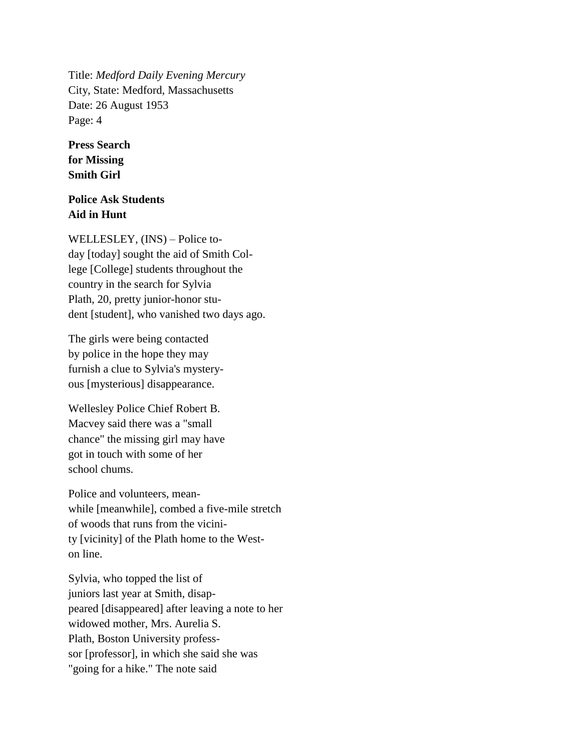Title: *Medford Daily Evening Mercury* City, State: Medford, Massachusetts Date: 26 August 1953 Page: 4

## **Press Search for Missing Smith Girl**

## **Police Ask Students Aid in Hunt**

WELLESLEY, (INS) – Police today [today] sought the aid of Smith College [College] students throughout the country in the search for Sylvia Plath, 20, pretty junior-honor student [student], who vanished two days ago.

The girls were being contacted by police in the hope they may furnish a clue to Sylvia's mysteryous [mysterious] disappearance.

Wellesley Police Chief Robert B. Macvey said there was a "small chance" the missing girl may have got in touch with some of her school chums.

Police and volunteers, meanwhile [meanwhile], combed a five-mile stretch of woods that runs from the vicinity [vicinity] of the Plath home to the Weston line.

Sylvia, who topped the list of juniors last year at Smith, disappeared [disappeared] after leaving a note to her widowed mother, Mrs. Aurelia S. Plath, Boston University professsor [professor], in which she said she was "going for a hike." The note said